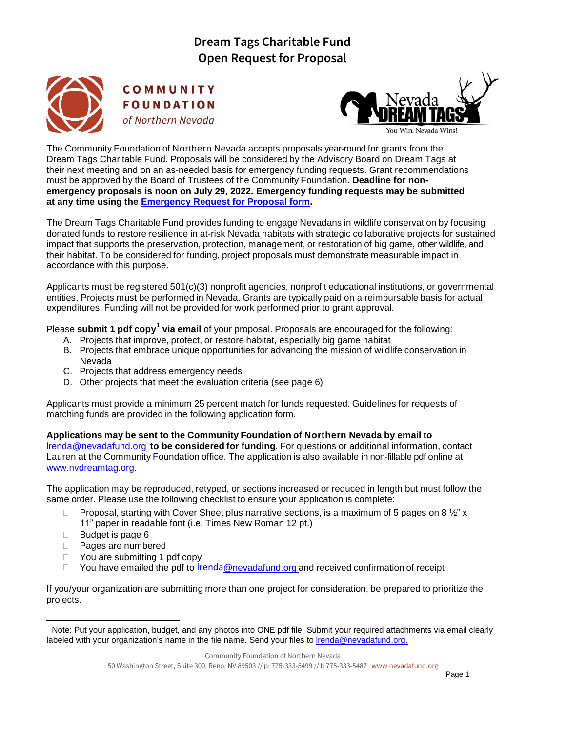

COMMUNITY **FOUNDATION** of Northern Nevada



The Community Foundation of Northern Nevada accepts proposals year-round for grants from the Dream Tags Charitable Fund. Proposals will be considered by the Advisory Board on Dream Tags at their next meeting and on an as-needed basis for emergency funding requests. Grant recommendations must be approved by the Board of Trustees of the Community Foundation. **Deadline for nonemergency proposals is noon on July 29, 2022. Emergency funding requests may be submitted at any time using the [Emergency Request for Proposal form.](https://nvdreamtag.org/wp-content/uploads/2021/06/Emergency_DreamTagsFund_RFP.pdf)**

The Dream Tags Charitable Fund provides funding to engage Nevadans in wildlife conservation by focusing donated funds to restore resilience in at-risk Nevada habitats with strategic collaborative projects for sustained impact that supports the preservation, protection, management, or restoration of big game, other wildlife, and their habitat. To be considered for funding, project proposals must demonstrate measurable impact in accordance with this purpose.

Applicants must be registered 501(c)(3) nonprofit agencies, nonprofit educational institutions, or governmental entities. Projects must be performed in Nevada. Grants are typically paid on a reimbursable basis for actual expenditures. Funding will not be provided for work performed prior to grant approval.

Please submit 1 pdf copy<sup>1</sup> via email of your proposal. Proposals are encouraged for the following:

- A. Projects that improve, protect, or restore habitat, especially big game habitat
- B. Projects that embrace unique opportunities for advancing the mission of wildlife conservation in Nevada
- C. Projects that address emergency needs
- D. Other projects that meet the evaluation criteria (see page 6)

Applicants must provide a minimum 25 percent match for funds requested. Guidelines for requests of matching funds are provided in the following application form.

**Applications may be sent to the Community Foundation of Northern Nevada by email to**  [lrenda@nevadafund.org](mailto:lrenda@nevadafund.org) **to be considered for funding**. For questions or additional information, contact Lauren at the Community Foundation office. The application is also available in non-fillable pdf online at [www.nvdreamtag.org.](http://www.nvdreamtag.org/)

The application may be reproduced, retyped, or sections increased or reduced in length but must follow the same order. Please use the following checklist to ensure your application is complete:

- **Proposal, starting with Cover Sheet plus narrative sections, is a maximum of 5 pages on 8**  $\frac{1}{2}$ **" x** 11" paper in readable font (i.e. Times New Roman 12 pt.)
- $\Box$  Budget is page 6
- Pages are numbered
- □ You are submitting 1 pdf copy
- $\Box$  You have emailed the pdf to **lrenda[@nevadafund.org](mailto:lrenda@nevadafund.org)** and received confirmation of receipt

If you/your organization are submitting more than one project for consideration, be prepared to prioritize the projects.

Note: Put your application, budget, and any photos into ONE pdf file. Submit your required attachments via email clearly labeled with your organization's name in the file name. Send your files to *Irenda@nevadafund.org.*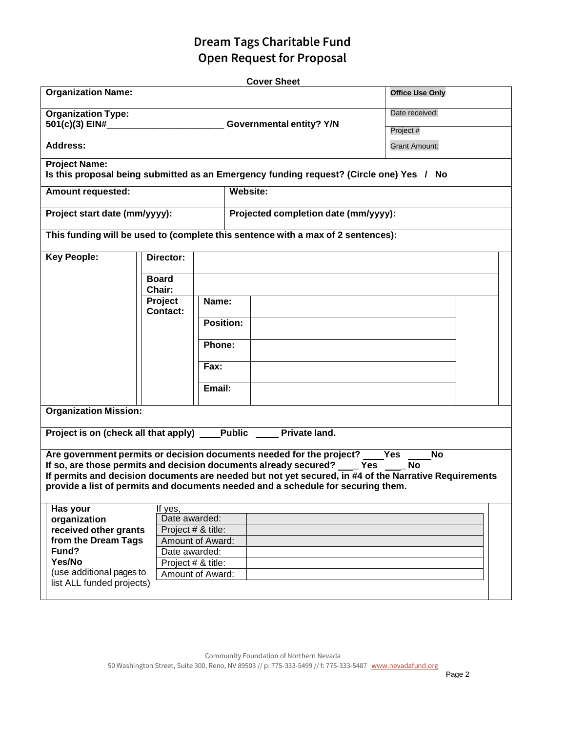|                                                           |                                                                 |                        |  | <b>Cover Sheet</b>                                                                                                                                                                        |           |  |  |  |
|-----------------------------------------------------------|-----------------------------------------------------------------|------------------------|--|-------------------------------------------------------------------------------------------------------------------------------------------------------------------------------------------|-----------|--|--|--|
| <b>Organization Name:</b>                                 |                                                                 | <b>Office Use Only</b> |  |                                                                                                                                                                                           |           |  |  |  |
| <b>Organization Type:</b><br>501(c)(3) EIN#               | Governmental entity? Y/N                                        | Date received:         |  |                                                                                                                                                                                           |           |  |  |  |
|                                                           |                                                                 | Project #              |  |                                                                                                                                                                                           |           |  |  |  |
| <b>Address:</b>                                           |                                                                 | <b>Grant Amount:</b>   |  |                                                                                                                                                                                           |           |  |  |  |
| <b>Project Name:</b>                                      |                                                                 |                        |  | Is this proposal being submitted as an Emergency funding request? (Circle one) Yes / No                                                                                                   |           |  |  |  |
| <b>Amount requested:</b>                                  |                                                                 |                        |  | <b>Website:</b>                                                                                                                                                                           |           |  |  |  |
| Project start date (mm/yyyy):                             |                                                                 |                        |  | Projected completion date (mm/yyyy):                                                                                                                                                      |           |  |  |  |
|                                                           |                                                                 |                        |  | This funding will be used to (complete this sentence with a max of 2 sentences):                                                                                                          |           |  |  |  |
| <b>Key People:</b>                                        | Director:                                                       |                        |  |                                                                                                                                                                                           |           |  |  |  |
|                                                           | <b>Board</b>                                                    |                        |  |                                                                                                                                                                                           |           |  |  |  |
|                                                           | Chair:<br>Project                                               | Name:                  |  |                                                                                                                                                                                           |           |  |  |  |
|                                                           | <b>Contact:</b>                                                 |                        |  |                                                                                                                                                                                           |           |  |  |  |
|                                                           |                                                                 | <b>Position:</b>       |  |                                                                                                                                                                                           |           |  |  |  |
|                                                           |                                                                 |                        |  |                                                                                                                                                                                           |           |  |  |  |
|                                                           |                                                                 | Phone:                 |  |                                                                                                                                                                                           |           |  |  |  |
|                                                           |                                                                 | Fax:                   |  |                                                                                                                                                                                           |           |  |  |  |
|                                                           |                                                                 | Email:                 |  |                                                                                                                                                                                           |           |  |  |  |
| <b>Organization Mission:</b>                              |                                                                 |                        |  |                                                                                                                                                                                           |           |  |  |  |
| Project is on (check all that apply) Public Private land. |                                                                 |                        |  |                                                                                                                                                                                           |           |  |  |  |
|                                                           |                                                                 |                        |  |                                                                                                                                                                                           |           |  |  |  |
|                                                           |                                                                 |                        |  | Are government permits or decision documents needed for the project? _____Yes                                                                                                             | <b>No</b> |  |  |  |
|                                                           |                                                                 |                        |  | If so, are those permits and decision documents already secured? ____ Yes __                                                                                                              | No        |  |  |  |
|                                                           |                                                                 |                        |  | If permits and decision documents are needed but not yet secured, in #4 of the Narrative Requirements<br>provide a list of permits and documents needed and a schedule for securing them. |           |  |  |  |
|                                                           |                                                                 |                        |  |                                                                                                                                                                                           |           |  |  |  |
| Has your                                                  | If yes,                                                         |                        |  |                                                                                                                                                                                           |           |  |  |  |
| organization                                              | Date awarded:                                                   |                        |  |                                                                                                                                                                                           |           |  |  |  |
| from the Dream Tags                                       | received other grants<br>Project # & title:<br>Amount of Award: |                        |  |                                                                                                                                                                                           |           |  |  |  |
| Fund?                                                     | Date awarded:                                                   |                        |  |                                                                                                                                                                                           |           |  |  |  |
| Yes/No                                                    | Project # & title:                                              |                        |  |                                                                                                                                                                                           |           |  |  |  |
| (use additional pages to                                  | Amount of Award:                                                |                        |  |                                                                                                                                                                                           |           |  |  |  |
| list ALL funded projects)                                 |                                                                 |                        |  |                                                                                                                                                                                           |           |  |  |  |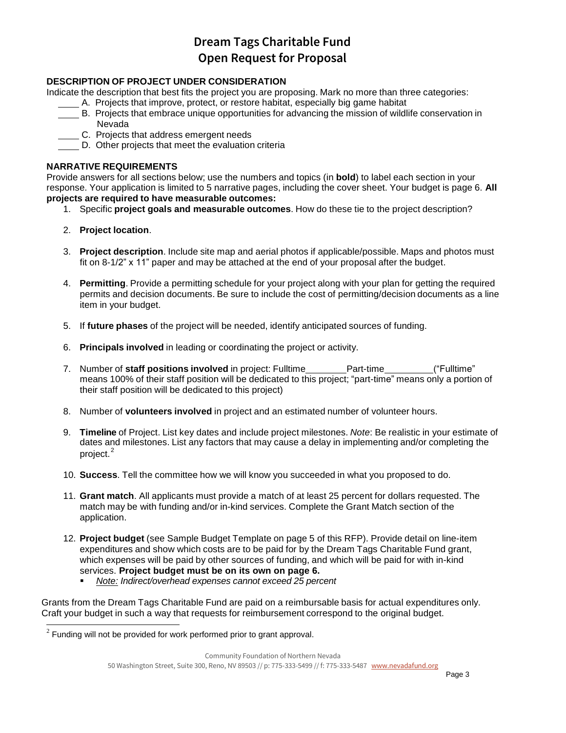### **DESCRIPTION OF PROJECT UNDER CONSIDERATION**

Indicate the description that best fits the project you are proposing. Mark no more than three categories:

- A. Projects that improve, protect, or restore habitat, especially big game habitat
- B. Projects that embrace unique opportunities for advancing the mission of wildlife conservation in Nevada
- C. Projects that address emergent needs
- D. Other projects that meet the evaluation criteria

#### **NARRATIVE REQUIREMENTS**

Provide answers for all sections below; use the numbers and topics (in **bold**) to label each section in your response. Your application is limited to 5 narrative pages, including the cover sheet. Your budget is page 6. **All projects are required to have measurable outcomes:**

- 1. Specific **project goals and measurable outcomes**. How do these tie to the project description?
- 2. **Project location**.
- 3. **Project description**. Include site map and aerial photos if applicable/possible. Maps and photos must fit on 8-1/2" x 11" paper and may be attached at the end of your proposal after the budget.
- 4. **Permitting**. Provide a permitting schedule for your project along with your plan for getting the required permits and decision documents. Be sure to include the cost of permitting/decision documents as a line item in your budget.
- 5. If **future phases** of the project will be needed, identify anticipated sources of funding.
- 6. **Principals involved** in leading or coordinating the project or activity.
- 7. Number of **staff positions involved** in project: Fulltime Part-time ("Fulltime" means 100% of their staff position will be dedicated to this project; "part-time" means only a portion of their staff position will be dedicated to this project)
- 8. Number of **volunteers involved** in project and an estimated number of volunteer hours.
- 9. **Timeline** of Project. List key dates and include project milestones. *Note*: Be realistic in your estimate of dates and milestones. List any factors that may cause a delay in implementing and/or completing the project.<sup>2</sup>
- 10. **Success**. Tell the committee how we will know you succeeded in what you proposed to do.
- 11. **Grant match**. All applicants must provide a match of at least 25 percent for dollars requested. The match may be with funding and/or in-kind services. Complete the Grant Match section of the application.
- 12. **Project budget** (see Sample Budget Template on page 5 of this RFP). Provide detail on line-item expenditures and show which costs are to be paid for by the Dream Tags Charitable Fund grant, which expenses will be paid by other sources of funding, and which will be paid for with in-kind services. **Project budget must be on its own on page 6.**
	- *Note: Indirect/overhead expenses cannot exceed 25 percent*

Grants from the Dream Tags Charitable Fund are paid on a reimbursable basis for actual expenditures only. Craft your budget in such a way that requests for reimbursement correspond to the original budget.

 $2$  Funding will not be provided for work performed prior to grant approval.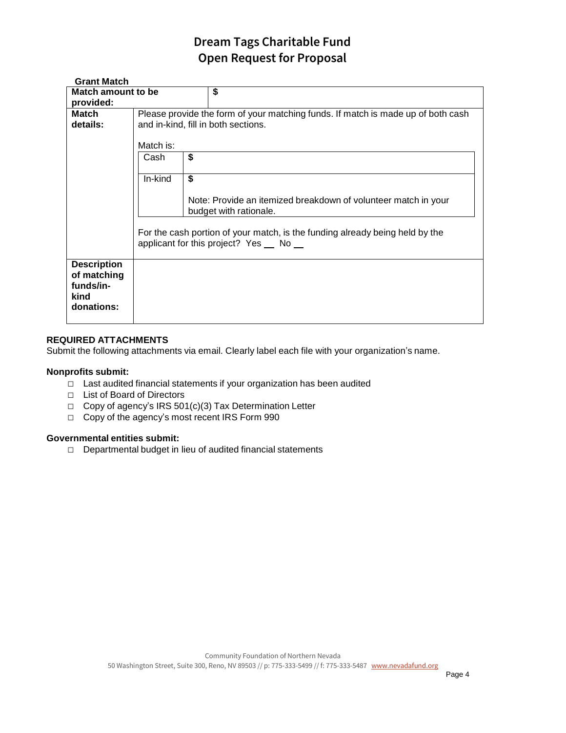| <b>Grant Match</b> |                                                                                  |                                                                              |  |  |  |  |  |
|--------------------|----------------------------------------------------------------------------------|------------------------------------------------------------------------------|--|--|--|--|--|
| Match amount to be |                                                                                  | \$                                                                           |  |  |  |  |  |
| provided:          |                                                                                  |                                                                              |  |  |  |  |  |
| <b>Match</b>       | Please provide the form of your matching funds. If match is made up of both cash |                                                                              |  |  |  |  |  |
| details:           | and in-kind, fill in both sections.                                              |                                                                              |  |  |  |  |  |
|                    |                                                                                  |                                                                              |  |  |  |  |  |
|                    | Match is:                                                                        |                                                                              |  |  |  |  |  |
|                    | Cash                                                                             | \$                                                                           |  |  |  |  |  |
|                    |                                                                                  |                                                                              |  |  |  |  |  |
|                    | In-kind                                                                          | \$                                                                           |  |  |  |  |  |
|                    |                                                                                  |                                                                              |  |  |  |  |  |
|                    |                                                                                  | Note: Provide an itemized breakdown of volunteer match in your               |  |  |  |  |  |
|                    |                                                                                  | budget with rationale.                                                       |  |  |  |  |  |
|                    |                                                                                  |                                                                              |  |  |  |  |  |
|                    |                                                                                  | For the cash portion of your match, is the funding already being held by the |  |  |  |  |  |
|                    | applicant for this project? Yes No                                               |                                                                              |  |  |  |  |  |
|                    |                                                                                  |                                                                              |  |  |  |  |  |
| <b>Description</b> |                                                                                  |                                                                              |  |  |  |  |  |
| of matching        |                                                                                  |                                                                              |  |  |  |  |  |
| funds/in-          |                                                                                  |                                                                              |  |  |  |  |  |
| kind               |                                                                                  |                                                                              |  |  |  |  |  |
| donations:         |                                                                                  |                                                                              |  |  |  |  |  |
|                    |                                                                                  |                                                                              |  |  |  |  |  |

#### **REQUIRED ATTACHMENTS**

Submit the following attachments via email. Clearly label each file with your organization's name.

#### **Nonprofits submit:**

- □ Last audited financial statements if your organization has been audited
- □ List of Board of Directors
- □ Copy of agency's IRS 501(c)(3) Tax Determination Letter
- □ Copy of the agency's most recent IRS Form 990

#### **Governmental entities submit:**

□ Departmental budget in lieu of audited financial statements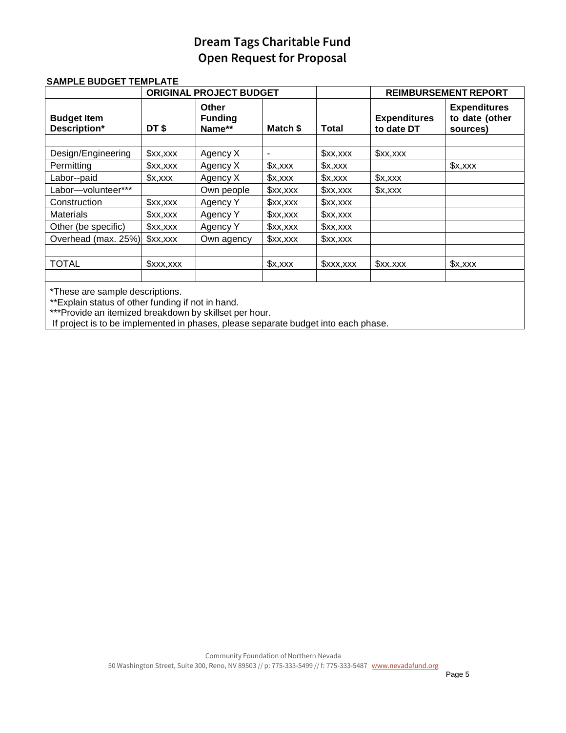|                                    |                 | <b>ORIGINAL PROJECT BUDGET</b>           |          |          | <b>REIMBURSEMENT REPORT</b>       |                                                   |
|------------------------------------|-----------------|------------------------------------------|----------|----------|-----------------------------------|---------------------------------------------------|
| <b>Budget Item</b><br>Description* | DT\$            | <b>Other</b><br><b>Funding</b><br>Name** | Match \$ | Total    | <b>Expenditures</b><br>to date DT | <b>Expenditures</b><br>to date (other<br>sources) |
|                                    |                 |                                          |          |          |                                   |                                                   |
| Design/Engineering                 | x, x            | Agency X                                 |          | x, x     | x, x                              |                                                   |
| Permitting                         | x, x            | Agency X                                 | x,xxx    | x, xx    |                                   | x,xxx                                             |
| Labor--paid                        | $x, x \times x$ | Agency X                                 | x,xxx    | x,xxx    | x, xx                             |                                                   |
| Labor-volunteer***                 |                 | Own people                               | x, x     | \$xx,xxx | x,xxx                             |                                                   |
| Construction                       | x, x            | Agency Y                                 | x, x     | x, x     |                                   |                                                   |
| <b>Materials</b>                   | \$xx,xxx        | Agency Y                                 | x, x     | x, x     |                                   |                                                   |
| Other (be specific)                | x, x            | Agency Y                                 | x, x     | x, x     |                                   |                                                   |
| Overhead (max. 25%)                | x, x            | Own agency                               | x, x     | x, x     |                                   |                                                   |
|                                    |                 |                                          |          |          |                                   |                                                   |
| <b>TOTAL</b>                       | \$xxx,xxx       |                                          | x, x     | x, x, x  | \$xx.xxx                          | x,xxx                                             |
|                                    |                 |                                          |          |          |                                   |                                                   |

### **SAMPLE BUDGET TEMPLATE**

\*These are sample descriptions.

\*\*Explain status of other funding if not in hand.

\*\*\*Provide an itemized breakdown by skillset per hour.

If project is to be implemented in phases, please separate budget into each phase.